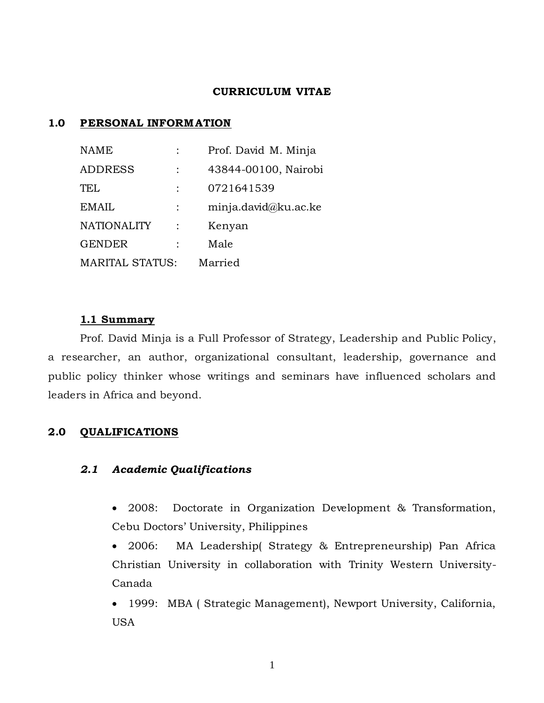#### **CURRICULUM VITAE**

#### **1.0 PERSONAL INFORM ATION**

| <b>NAME</b>            |  | Prof. David M. Minja |
|------------------------|--|----------------------|
| <b>ADDRESS</b>         |  | 43844-00100, Nairobi |
| TEL                    |  | 0721641539           |
| <b>EMAIL</b>           |  | minja.david@ku.ac.ke |
| <b>NATIONALITY</b>     |  | Kenyan               |
| <b>GENDER</b>          |  | Male                 |
| <b>MARITAL STATUS:</b> |  | Married              |

#### **1.1 Summary**

Prof. David Minja is a Full Professor of Strategy, Leadership and Public Policy, a researcher, an author, organizational consultant, leadership, governance and public policy thinker whose writings and seminars have influenced scholars and leaders in Africa and beyond.

### **2.0 QUALIFICATIONS**

#### *2.1 Academic Qualifications*

- 2008: Doctorate in Organization Development & Transformation, Cebu Doctors' University, Philippines
- 2006: MA Leadership( Strategy & Entrepreneurship) Pan Africa Christian University in collaboration with Trinity Western University-Canada
- 1999: MBA ( Strategic Management), Newport University, California, USA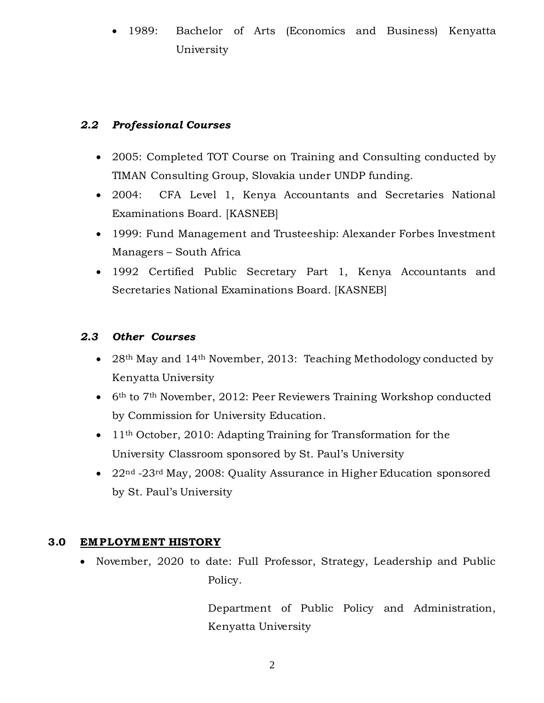1989: Bachelor of Arts (Economics and Business) Kenyatta University

# *2.2 Professional Courses*

- 2005: Completed TOT Course on Training and Consulting conducted by TIMAN Consulting Group, Slovakia under UNDP funding.
- 2004: CFA Level 1, Kenya Accountants and Secretaries National Examinations Board. [KASNEB]
- 1999: Fund Management and Trusteeship: Alexander Forbes Investment Managers – South Africa
- 1992 Certified Public Secretary Part 1, Kenya Accountants and Secretaries National Examinations Board. [KASNEB]

## *2.3 Other Courses*

- $28<sup>th</sup>$  May and 14<sup>th</sup> November, 2013: Teaching Methodology conducted by Kenyatta University
- $\bullet$  6<sup>th</sup> to 7<sup>th</sup> November, 2012: Peer Reviewers Training Workshop conducted by Commission for University Education.
- $\bullet$  11<sup>th</sup> October, 2010: Adapting Training for Transformation for the University Classroom sponsored by St. Paul's University
- 22<sup>nd</sup> -23<sup>rd</sup> May, 2008: Quality Assurance in Higher Education sponsored by St. Paul's University

# **3.0 EMPLOYM ENT HISTORY**

• November, 2020 to date: Full Professor, Strategy, Leadership and Public Policy.

> Department of Public Policy and Administration, Kenyatta University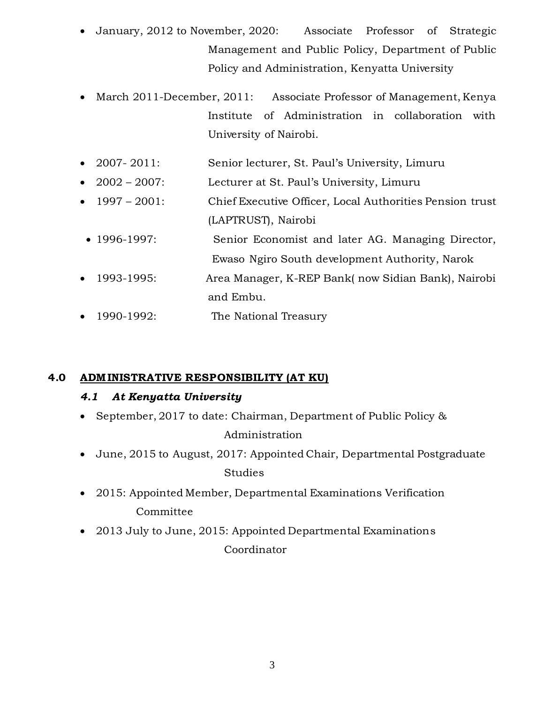- January, 2012 to November, 2020: Associate Professor of Strategic Management and Public Policy, Department of Public Policy and Administration, Kenyatta University
- March 2011-December, 2011: Associate Professor of Management, Kenya Institute of Administration in collaboration with University of Nairobi.
- 2007- 2011: Senior lecturer, St. Paul's University, Limuru
- 2002 2007: Lecturer at St. Paul's University, Limuru
- 1997 2001: Chief Executive Officer, Local Authorities Pension trust (LAPTRUST), Nairobi
- 1996-1997: Senior Economist and later AG. Managing Director, Ewaso Ngiro South development Authority, Narok
- 1993-1995: Area Manager, K-REP Bank( now Sidian Bank), Nairobi and Embu.
- 1990-1992: The National Treasury

# **4.0 ADM INISTRATIVE RESPONSIBILITY (AT KU)**

# *4.1 At Kenyatta University*

• September, 2017 to date: Chairman, Department of Public Policy &

# Administration

- June, 2015 to August, 2017: Appointed Chair, Departmental Postgraduate Studies
- 2015: Appointed Member, Departmental Examinations Verification Committee
- 2013 July to June, 2015: Appointed Departmental Examinations Coordinator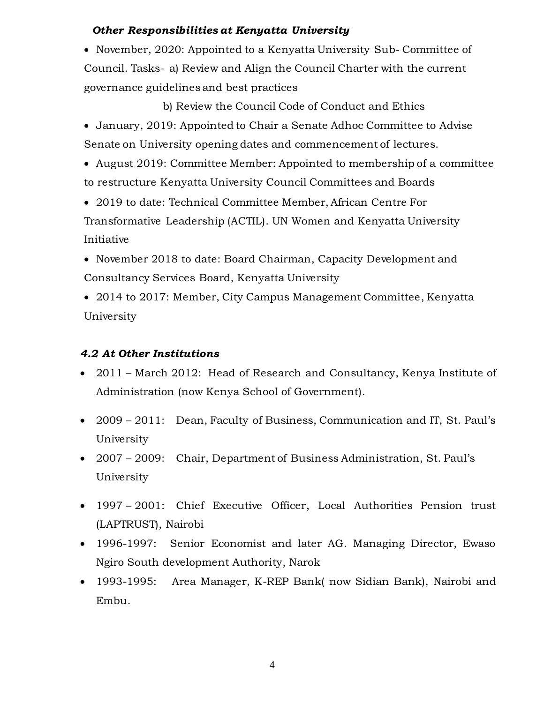## *Other Responsibilities at Kenyatta University*

• November, 2020: Appointed to a Kenyatta University Sub-Committee of Council. Tasks- a) Review and Align the Council Charter with the current governance guidelines and best practices

b) Review the Council Code of Conduct and Ethics

 January, 2019: Appointed to Chair a Senate Adhoc Committee to Advise Senate on University opening dates and commencement of lectures.

 August 2019: Committee Member: Appointed to membership of a committee to restructure Kenyatta University Council Committees and Boards

 2019 to date: Technical Committee Member, African Centre For Transformative Leadership (ACTIL). UN Women and Kenyatta University Initiative

- November 2018 to date: Board Chairman, Capacity Development and Consultancy Services Board, Kenyatta University
- 2014 to 2017: Member, City Campus Management Committee, Kenyatta University

# *4.2 At Other Institutions*

- 2011 March 2012: Head of Research and Consultancy, Kenya Institute of Administration (now Kenya School of Government).
- 2009 2011: Dean, Faculty of Business, Communication and IT, St. Paul's University
- 2007 2009: Chair, Department of Business Administration, St. Paul's University
- 1997 2001: Chief Executive Officer, Local Authorities Pension trust (LAPTRUST), Nairobi
- 1996-1997: Senior Economist and later AG. Managing Director, Ewaso Ngiro South development Authority, Narok
- 1993-1995: Area Manager, K-REP Bank( now Sidian Bank), Nairobi and Embu.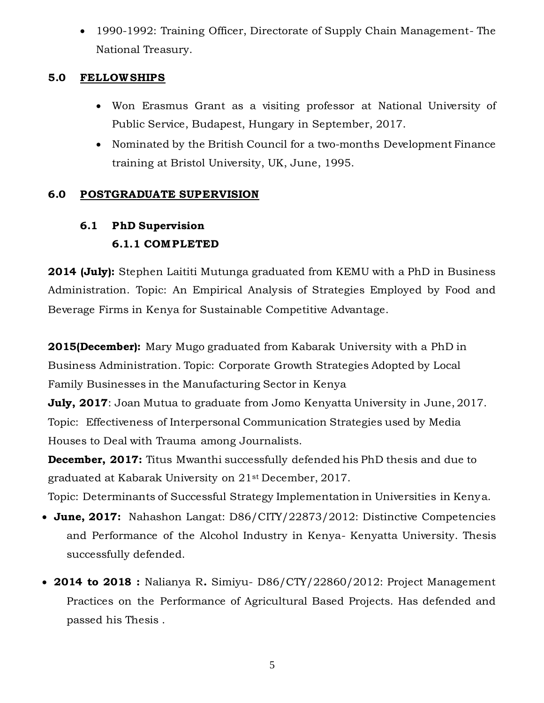1990-1992: Training Officer, Directorate of Supply Chain Management- The National Treasury.

# **5.0 FELLOWSHIPS**

- Won Erasmus Grant as a visiting professor at National University of Public Service, Budapest, Hungary in September, 2017.
- Nominated by the British Council for a two-months Development Finance training at Bristol University, UK, June, 1995.

# **6.0 POSTGRADUATE SUPERVISION**

# **6.1 PhD Supervision 6.1.1 COMPLETED**

**2014 (July):** Stephen Laititi Mutunga graduated from KEMU with a PhD in Business Administration. Topic: An Empirical Analysis of Strategies Employed by Food and Beverage Firms in Kenya for Sustainable Competitive Advantage.

**2015(December):** Mary Mugo graduated from Kabarak University with a PhD in Business Administration. Topic: Corporate Growth Strategies Adopted by Local Family Businesses in the Manufacturing Sector in Kenya

**July, 2017**: Joan Mutua to graduate from Jomo Kenyatta University in June, 2017. Topic: Effectiveness of Interpersonal Communication Strategies used by Media Houses to Deal with Trauma among Journalists.

**December, 2017:** Titus Mwanthi successfully defended his PhD thesis and due to graduated at Kabarak University on 21st December, 2017.

Topic: Determinants of Successful Strategy Implementation in Universities in Kenya.

- **June, 2017:** Nahashon Langat: D86/CITY/22873/2012: Distinctive Competencies and Performance of the Alcohol Industry in Kenya- Kenyatta University. Thesis successfully defended.
- **2014 to 2018 :** Nalianya R**.** Simiyu- D86/CTY/22860/2012: Project Management Practices on the Performance of Agricultural Based Projects. Has defended and passed his Thesis .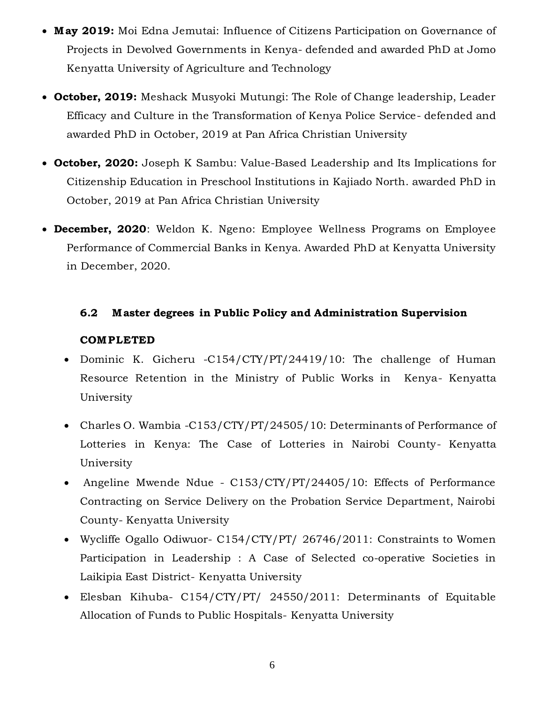- **M ay 2019:** Moi Edna Jemutai: Influence of Citizens Participation on Governance of Projects in Devolved Governments in Kenya- defended and awarded PhD at Jomo Kenyatta University of Agriculture and Technology
- **October, 2019:** Meshack Musyoki Mutungi: The Role of Change leadership, Leader Efficacy and Culture in the Transformation of Kenya Police Service- defended and awarded PhD in October, 2019 at Pan Africa Christian University
- **October, 2020:** Joseph K Sambu: Value-Based Leadership and Its Implications for Citizenship Education in Preschool Institutions in Kajiado North. awarded PhD in October, 2019 at Pan Africa Christian University
- **December, 2020**: Weldon K. Ngeno: Employee Wellness Programs on Employee Performance of Commercial Banks in Kenya. Awarded PhD at Kenyatta University in December, 2020.

## **6.2 M aster degrees in Public Policy and Administration Supervision**

### **COMPLETED**

- Dominic K. Gicheru -C154/CTY/PT/24419/10: The challenge of Human Resource Retention in the Ministry of Public Works in Kenya- Kenyatta University
- Charles O. Wambia -C153/CTY/PT/24505/10: Determinants of Performance of Lotteries in Kenya: The Case of Lotteries in Nairobi County- Kenyatta University
- Angeline Mwende Ndue C153/CTY/PT/24405/10: Effects of Performance Contracting on Service Delivery on the Probation Service Department, Nairobi County- Kenyatta University
- Wycliffe Ogallo Odiwuor- C154/CTY/PT/ 26746/2011: Constraints to Women Participation in Leadership : A Case of Selected co-operative Societies in Laikipia East District- Kenyatta University
- Elesban Kihuba- C154/CTY/PT/ 24550/2011: Determinants of Equitable Allocation of Funds to Public Hospitals- Kenyatta University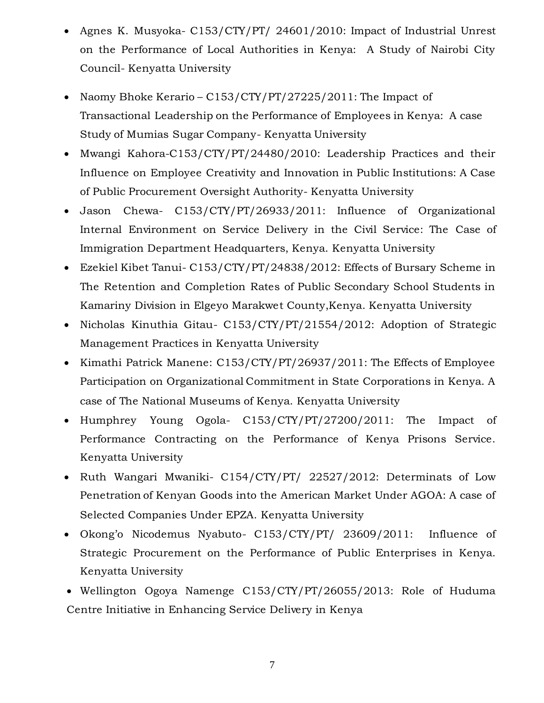- Agnes K. Musyoka- C153/CTY/PT/ 24601/2010: Impact of Industrial Unrest on the Performance of Local Authorities in Kenya: A Study of Nairobi City Council- Kenyatta University
- Naomy Bhoke Kerario C153/CTY/PT/27225/2011: The Impact of Transactional Leadership on the Performance of Employees in Kenya: A case Study of Mumias Sugar Company- Kenyatta University
- Mwangi Kahora-C153/CTY/PT/24480/2010: Leadership Practices and their Influence on Employee Creativity and Innovation in Public Institutions: A Case of Public Procurement Oversight Authority- Kenyatta University
- Jason Chewa- C153/CTY/PT/26933/2011: Influence of Organizational Internal Environment on Service Delivery in the Civil Service: The Case of Immigration Department Headquarters, Kenya. Kenyatta University
- Ezekiel Kibet Tanui- C153/CTY/PT/24838/2012: Effects of Bursary Scheme in The Retention and Completion Rates of Public Secondary School Students in Kamariny Division in Elgeyo Marakwet County,Kenya. Kenyatta University
- Nicholas Kinuthia Gitau- C153/CTY/PT/21554/2012: Adoption of Strategic Management Practices in Kenyatta University
- Kimathi Patrick Manene: C153/CTY/PT/26937/2011: The Effects of Employee Participation on Organizational Commitment in State Corporations in Kenya. A case of The National Museums of Kenya. Kenyatta University
- Humphrey Young Ogola- C153/CTY/PT/27200/2011: The Impact of Performance Contracting on the Performance of Kenya Prisons Service. Kenyatta University
- Ruth Wangari Mwaniki- C154/CTY/PT/ 22527/2012: Determinats of Low Penetration of Kenyan Goods into the American Market Under AGOA: A case of Selected Companies Under EPZA. Kenyatta University
- Okong'o Nicodemus Nyabuto- C153/CTY/PT/ 23609/2011: Influence of Strategic Procurement on the Performance of Public Enterprises in Kenya. Kenyatta University
- Wellington Ogoya Namenge C153/CTY/PT/26055/2013: Role of Huduma Centre Initiative in Enhancing Service Delivery in Kenya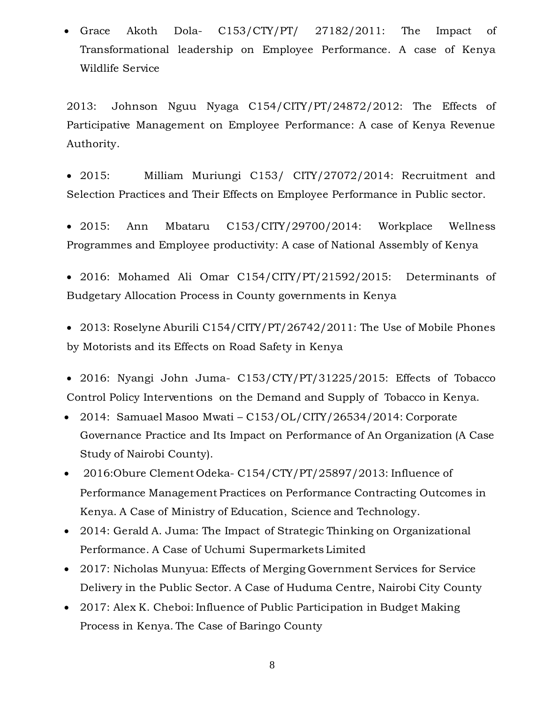Grace Akoth Dola- C153/CTY/PT/ 27182/2011: The Impact of Transformational leadership on Employee Performance. A case of Kenya Wildlife Service

2013: Johnson Nguu Nyaga C154/CITY/PT/24872/2012: The Effects of Participative Management on Employee Performance: A case of Kenya Revenue Authority.

 2015: Milliam Muriungi C153/ CITY/27072/2014: Recruitment and Selection Practices and Their Effects on Employee Performance in Public sector.

 2015: Ann Mbataru C153/CITY/29700/2014: Workplace Wellness Programmes and Employee productivity: A case of National Assembly of Kenya

 2016: Mohamed Ali Omar C154/CITY/PT/21592/2015: Determinants of Budgetary Allocation Process in County governments in Kenya

 2013: Roselyne Aburili C154/CITY/PT/26742/2011: The Use of Mobile Phones by Motorists and its Effects on Road Safety in Kenya

- 2016: Nyangi John Juma- C153/CTY/PT/31225/2015: Effects of Tobacco Control Policy Interventions on the Demand and Supply of Tobacco in Kenya.
- 2014: Samuael Masoo Mwati C153/OL/CITY/26534/2014: Corporate Governance Practice and Its Impact on Performance of An Organization (A Case Study of Nairobi County).
- 2016:Obure Clement Odeka- C154/CTY/PT/25897/2013: Influence of Performance Management Practices on Performance Contracting Outcomes in Kenya. A Case of Ministry of Education, Science and Technology.
- 2014: Gerald A. Juma: The Impact of Strategic Thinking on Organizational Performance. A Case of Uchumi Supermarkets Limited
- 2017: Nicholas Munyua: Effects of Merging Government Services for Service Delivery in the Public Sector. A Case of Huduma Centre, Nairobi City County
- 2017: Alex K. Cheboi: Influence of Public Participation in Budget Making Process in Kenya. The Case of Baringo County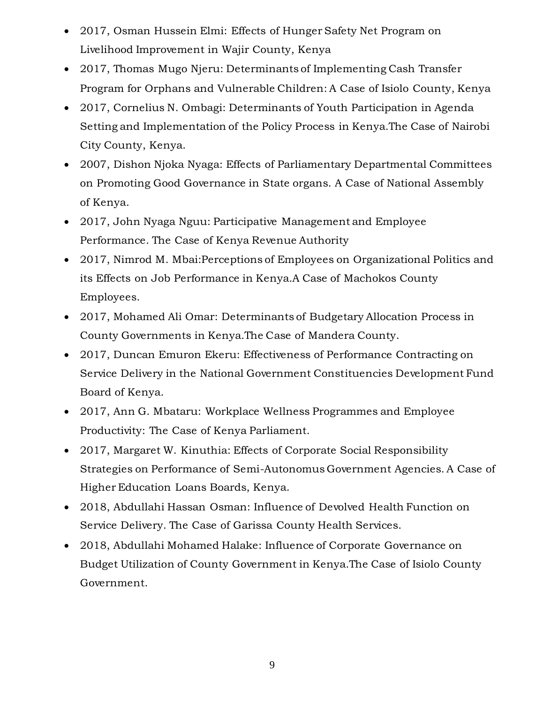- 2017, Osman Hussein Elmi: Effects of Hunger Safety Net Program on Livelihood Improvement in Wajir County, Kenya
- 2017, Thomas Mugo Njeru: Determinants of Implementing Cash Transfer Program for Orphans and Vulnerable Children: A Case of Isiolo County, Kenya
- 2017, Cornelius N. Ombagi: Determinants of Youth Participation in Agenda Setting and Implementation of the Policy Process in Kenya.The Case of Nairobi City County, Kenya.
- 2007, Dishon Njoka Nyaga: Effects of Parliamentary Departmental Committees on Promoting Good Governance in State organs. A Case of National Assembly of Kenya.
- 2017, John Nyaga Nguu: Participative Management and Employee Performance. The Case of Kenya Revenue Authority
- 2017, Nimrod M. Mbai:Perceptions of Employees on Organizational Politics and its Effects on Job Performance in Kenya.A Case of Machokos County Employees.
- 2017, Mohamed Ali Omar: Determinants of Budgetary Allocation Process in County Governments in Kenya.The Case of Mandera County.
- 2017, Duncan Emuron Ekeru: Effectiveness of Performance Contracting on Service Delivery in the National Government Constituencies Development Fund Board of Kenya.
- 2017, Ann G. Mbataru: Workplace Wellness Programmes and Employee Productivity: The Case of Kenya Parliament.
- 2017, Margaret W. Kinuthia: Effects of Corporate Social Responsibility Strategies on Performance of Semi-Autonomus Government Agencies. A Case of Higher Education Loans Boards, Kenya.
- 2018, Abdullahi Hassan Osman: Influence of Devolved Health Function on Service Delivery. The Case of Garissa County Health Services.
- 2018, Abdullahi Mohamed Halake: Influence of Corporate Governance on Budget Utilization of County Government in Kenya.The Case of Isiolo County Government.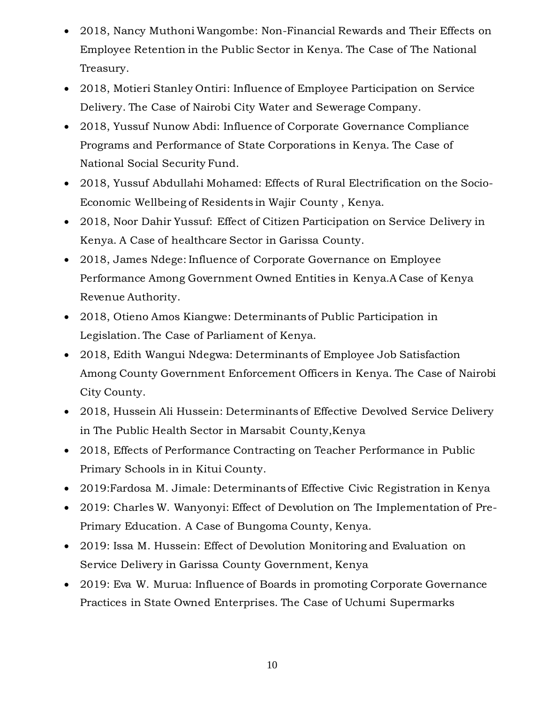- 2018, Nancy Muthoni Wangombe: Non-Financial Rewards and Their Effects on Employee Retention in the Public Sector in Kenya. The Case of The National Treasury.
- 2018, Motieri Stanley Ontiri: Influence of Employee Participation on Service Delivery. The Case of Nairobi City Water and Sewerage Company.
- 2018, Yussuf Nunow Abdi: Influence of Corporate Governance Compliance Programs and Performance of State Corporations in Kenya. The Case of National Social Security Fund.
- 2018, Yussuf Abdullahi Mohamed: Effects of Rural Electrification on the Socio-Economic Wellbeing of Residents in Wajir County , Kenya.
- 2018, Noor Dahir Yussuf: Effect of Citizen Participation on Service Delivery in Kenya. A Case of healthcare Sector in Garissa County.
- 2018, James Ndege: Influence of Corporate Governance on Employee Performance Among Government Owned Entities in Kenya.A Case of Kenya Revenue Authority.
- 2018, Otieno Amos Kiangwe: Determinants of Public Participation in Legislation. The Case of Parliament of Kenya.
- 2018, Edith Wangui Ndegwa: Determinants of Employee Job Satisfaction Among County Government Enforcement Officers in Kenya. The Case of Nairobi City County.
- 2018, Hussein Ali Hussein: Determinants of Effective Devolved Service Delivery in The Public Health Sector in Marsabit County,Kenya
- 2018, Effects of Performance Contracting on Teacher Performance in Public Primary Schools in in Kitui County.
- 2019:Fardosa M. Jimale: Determinants of Effective Civic Registration in Kenya
- 2019: Charles W. Wanyonyi: Effect of Devolution on The Implementation of Pre-Primary Education. A Case of Bungoma County, Kenya.
- 2019: Issa M. Hussein: Effect of Devolution Monitoring and Evaluation on Service Delivery in Garissa County Government, Kenya
- 2019: Eva W. Murua: Influence of Boards in promoting Corporate Governance Practices in State Owned Enterprises. The Case of Uchumi Supermarks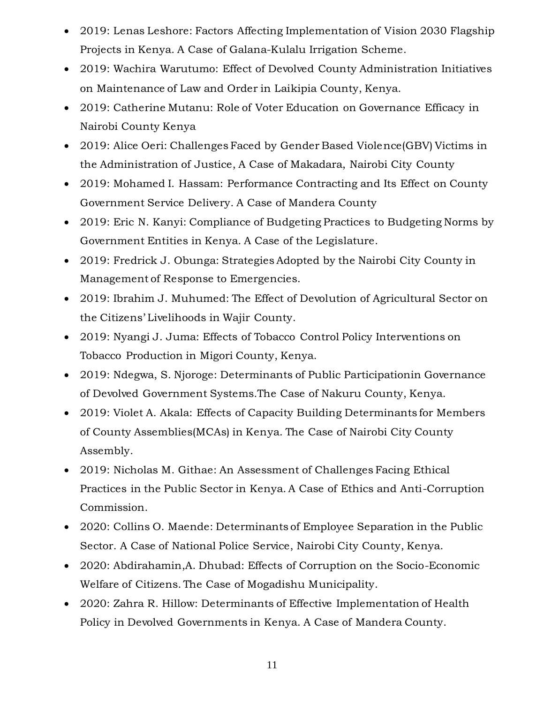- 2019: Lenas Leshore: Factors Affecting Implementation of Vision 2030 Flagship Projects in Kenya. A Case of Galana-Kulalu Irrigation Scheme.
- 2019: Wachira Warutumo: Effect of Devolved County Administration Initiatives on Maintenance of Law and Order in Laikipia County, Kenya.
- 2019: Catherine Mutanu: Role of Voter Education on Governance Efficacy in Nairobi County Kenya
- 2019: Alice Oeri: Challenges Faced by Gender Based Violence(GBV) Victims in the Administration of Justice, A Case of Makadara, Nairobi City County
- 2019: Mohamed I. Hassam: Performance Contracting and Its Effect on County Government Service Delivery. A Case of Mandera County
- 2019: Eric N. Kanyi: Compliance of Budgeting Practices to Budgeting Norms by Government Entities in Kenya. A Case of the Legislature.
- 2019: Fredrick J. Obunga: Strategies Adopted by the Nairobi City County in Management of Response to Emergencies.
- 2019: Ibrahim J. Muhumed: The Effect of Devolution of Agricultural Sector on the Citizens' Livelihoods in Wajir County.
- 2019: Nyangi J. Juma: Effects of Tobacco Control Policy Interventions on Tobacco Production in Migori County, Kenya.
- 2019: Ndegwa, S. Njoroge: Determinants of Public Participationin Governance of Devolved Government Systems.The Case of Nakuru County, Kenya.
- 2019: Violet A. Akala: Effects of Capacity Building Determinants for Members of County Assemblies(MCAs) in Kenya. The Case of Nairobi City County Assembly.
- 2019: Nicholas M. Githae: An Assessment of Challenges Facing Ethical Practices in the Public Sector in Kenya. A Case of Ethics and Anti-Corruption Commission.
- 2020: Collins O. Maende: Determinants of Employee Separation in the Public Sector. A Case of National Police Service, Nairobi City County, Kenya.
- 2020: Abdirahamin,A. Dhubad: Effects of Corruption on the Socio-Economic Welfare of Citizens. The Case of Mogadishu Municipality.
- 2020: Zahra R. Hillow: Determinants of Effective Implementation of Health Policy in Devolved Governments in Kenya. A Case of Mandera County.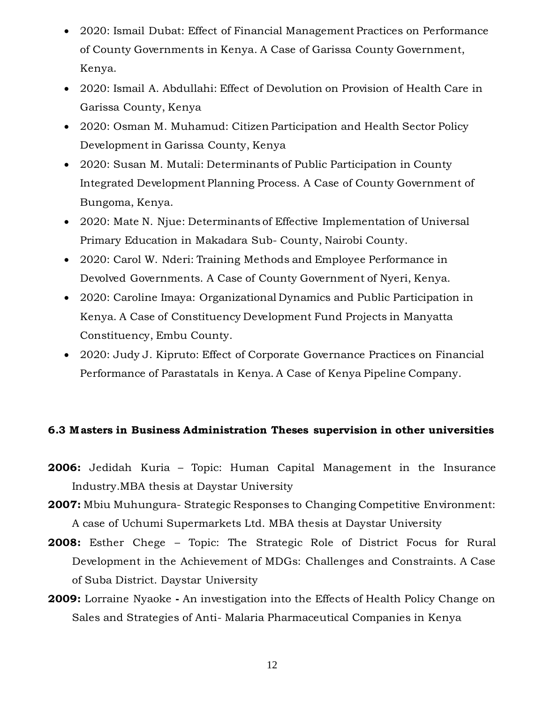- 2020: Ismail Dubat: Effect of Financial Management Practices on Performance of County Governments in Kenya. A Case of Garissa County Government, Kenya.
- 2020: Ismail A. Abdullahi: Effect of Devolution on Provision of Health Care in Garissa County, Kenya
- 2020: Osman M. Muhamud: Citizen Participation and Health Sector Policy Development in Garissa County, Kenya
- 2020: Susan M. Mutali: Determinants of Public Participation in County Integrated Development Planning Process. A Case of County Government of Bungoma, Kenya.
- 2020: Mate N. Njue: Determinants of Effective Implementation of Universal Primary Education in Makadara Sub- County, Nairobi County.
- 2020: Carol W. Nderi: Training Methods and Employee Performance in Devolved Governments. A Case of County Government of Nyeri, Kenya.
- 2020: Caroline Imaya: Organizational Dynamics and Public Participation in Kenya. A Case of Constituency Development Fund Projects in Manyatta Constituency, Embu County.
- 2020: Judy J. Kipruto: Effect of Corporate Governance Practices on Financial Performance of Parastatals in Kenya. A Case of Kenya Pipeline Company.

### **6.3 M asters in Business Administration Theses supervision in other universities**

- **2006:** Jedidah Kuria Topic: Human Capital Management in the Insurance Industry.MBA thesis at Daystar University
- **2007:** Mbiu Muhungura- Strategic Responses to Changing Competitive Environment: A case of Uchumi Supermarkets Ltd. MBA thesis at Daystar University
- **2008:** Esther Chege Topic: The Strategic Role of District Focus for Rural Development in the Achievement of MDGs: Challenges and Constraints. A Case of Suba District. Daystar University
- **2009:** Lorraine Nyaoke **-** An investigation into the Effects of Health Policy Change on Sales and Strategies of Anti- Malaria Pharmaceutical Companies in Kenya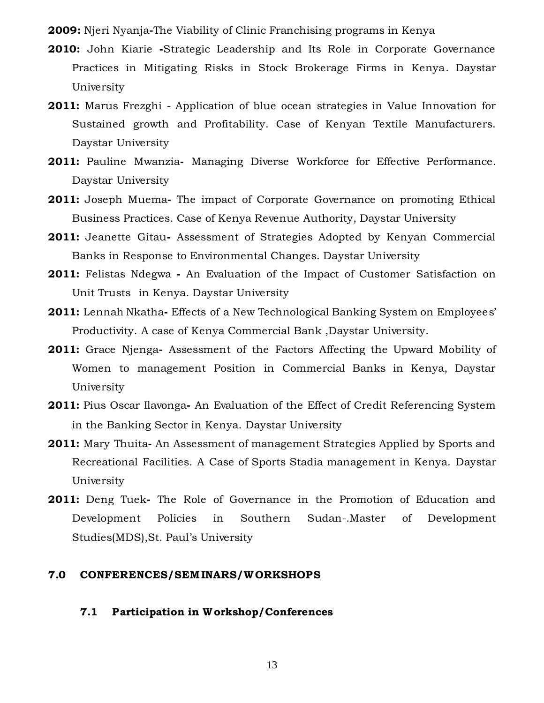**2009:** Njeri Nyanja**-**The Viability of Clinic Franchising programs in Kenya

- **2010:** John Kiarie **-**Strategic Leadership and Its Role in Corporate Governance Practices in Mitigating Risks in Stock Brokerage Firms in Kenya. Daystar University
- **2011:** Marus Frezghi Application of blue ocean strategies in Value Innovation for Sustained growth and Profitability. Case of Kenyan Textile Manufacturers. Daystar University
- **2011:** Pauline Mwanzia**-** Managing Diverse Workforce for Effective Performance. Daystar University
- **2011:** Joseph Muema**-** The impact of Corporate Governance on promoting Ethical Business Practices. Case of Kenya Revenue Authority, Daystar University
- **2011:** Jeanette Gitau**-** Assessment of Strategies Adopted by Kenyan Commercial Banks in Response to Environmental Changes. Daystar University
- **2011:** Felistas Ndegwa **-** An Evaluation of the Impact of Customer Satisfaction on Unit Trusts in Kenya. Daystar University
- **2011:** Lennah Nkatha**-** Effects of a New Technological Banking System on Employees' Productivity. A case of Kenya Commercial Bank ,Daystar University.
- **2011:** Grace Njenga**-** Assessment of the Factors Affecting the Upward Mobility of Women to management Position in Commercial Banks in Kenya, Daystar University
- **2011:** Pius Oscar Ilavonga**-** An Evaluation of the Effect of Credit Referencing System in the Banking Sector in Kenya. Daystar University
- **2011:** Mary Thuita**-** An Assessment of management Strategies Applied by Sports and Recreational Facilities. A Case of Sports Stadia management in Kenya. Daystar University
- **2011:** Deng Tuek**-** The Role of Governance in the Promotion of Education and Development Policies in Southern Sudan-.Master of Development Studies(MDS),St. Paul's University

#### **7.0 CONFERENCES/SEM INARS/WORKSHOPS**

**7.1 Participation in W orkshop/Conferences**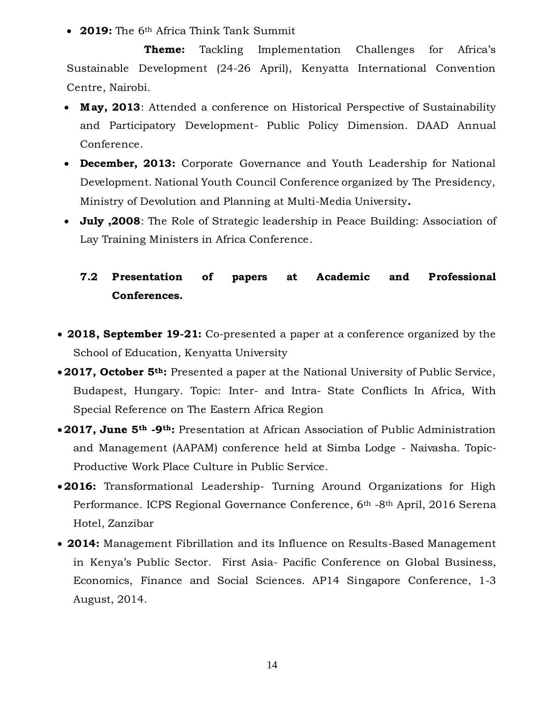**2019:** The 6th Africa Think Tank Summit

**Theme:** Tackling Implementation Challenges for Africa's Sustainable Development (24-26 April), Kenyatta International Convention Centre, Nairobi.

- Mav. 2013: Attended a conference on Historical Perspective of Sustainability and Participatory Development- Public Policy Dimension. DAAD Annual Conference.
- **December, 2013:** Corporate Governance and Youth Leadership for National Development. National Youth Council Conference organized by The Presidency, Ministry of Devolution and Planning at Multi-Media University**.**
- **July ,2008**: The Role of Strategic leadership in Peace Building: Association of Lay Training Ministers in Africa Conference.

# **7.2 Presentation of papers at Academic and Professional Conferences.**

- **2018, September 19-21:** Co-presented a paper at a conference organized by the School of Education, Kenyatta University
- **2017, October 5th:** Presented a paper at the National University of Public Service, Budapest, Hungary. Topic: Inter- and Intra- State Conflicts In Africa, With Special Reference on The Eastern Africa Region
- **2017, June 5th -9th:** Presentation at African Association of Public Administration and Management (AAPAM) conference held at Simba Lodge - Naivasha. Topic-Productive Work Place Culture in Public Service.
- **2016:** Transformational Leadership- Turning Around Organizations for High Performance. ICPS Regional Governance Conference, 6<sup>th</sup> -8<sup>th</sup> April, 2016 Serena Hotel, Zanzibar
- **2014:** Management Fibrillation and its Influence on Results-Based Management in Kenya's Public Sector. First Asia- Pacific Conference on Global Business, Economics, Finance and Social Sciences. AP14 Singapore Conference, 1-3 August, 2014.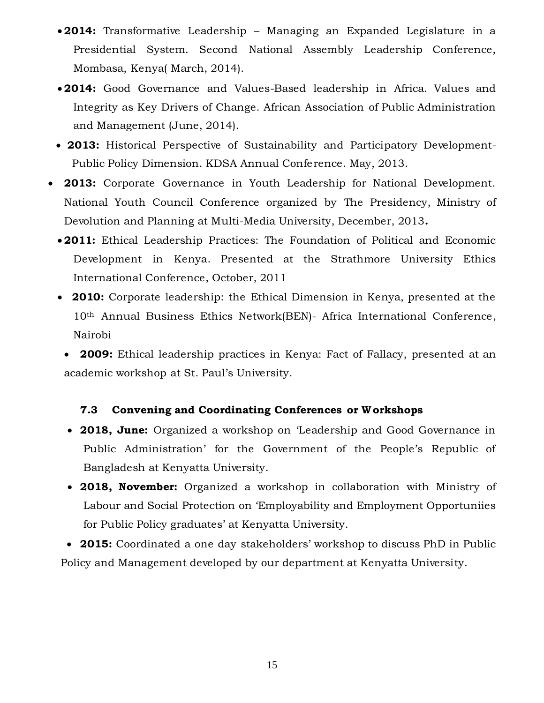- **2014:** Transformative Leadership Managing an Expanded Legislature in a Presidential System. Second National Assembly Leadership Conference, Mombasa, Kenya( March, 2014).
- **2014:** Good Governance and Values-Based leadership in Africa. Values and Integrity as Key Drivers of Change. African Association of Public Administration and Management (June, 2014).
- **2013:** Historical Perspective of Sustainability and Participatory Development-Public Policy Dimension. KDSA Annual Conference. May, 2013.
- **2013:** Corporate Governance in Youth Leadership for National Development. National Youth Council Conference organized by The Presidency, Ministry of Devolution and Planning at Multi-Media University, December, 2013**.**
	- **2011:** Ethical Leadership Practices: The Foundation of Political and Economic Development in Kenya. Presented at the Strathmore University Ethics International Conference, October, 2011
	- **2010:** Corporate leadership: the Ethical Dimension in Kenya, presented at the 10th Annual Business Ethics Network(BEN)- Africa International Conference, Nairobi
		- **2009:** Ethical leadership practices in Kenya: Fact of Fallacy, presented at an academic workshop at St. Paul's University.

### **7.3 Convening and Coordinating Conferences or W orkshops**

- **2018, June:** Organized a workshop on 'Leadership and Good Governance in Public Administration' for the Government of the People's Republic of Bangladesh at Kenyatta University.
- **2018, November:** Organized a workshop in collaboration with Ministry of Labour and Social Protection on 'Employability and Employment Opportuniies for Public Policy graduates' at Kenyatta University.
- **2015:** Coordinated a one day stakeholders' workshop to discuss PhD in Public Policy and Management developed by our department at Kenyatta University.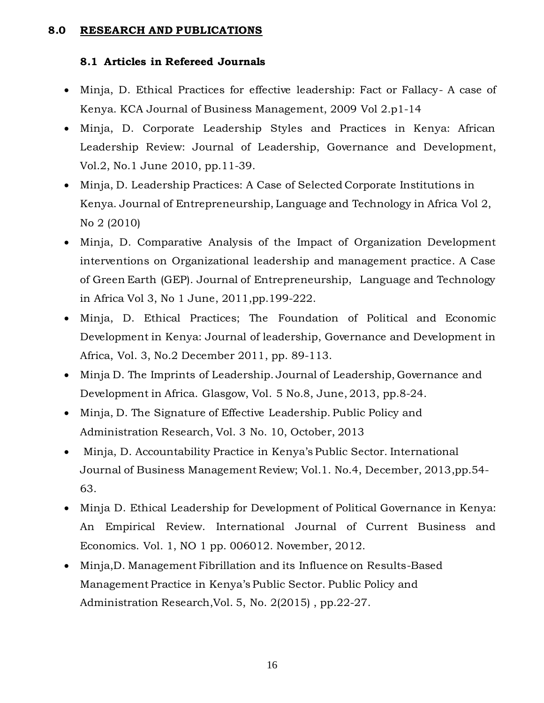### **8.0 RESEARCH AND PUBLICATIONS**

### **8.1 Articles in Refereed Journals**

- Minja, D. Ethical Practices for effective leadership: Fact or Fallacy- A case of Kenya. KCA Journal of Business Management, 2009 Vol 2.p1-14
- Minja, D. Corporate Leadership Styles and Practices in Kenya: African Leadership Review: Journal of Leadership, Governance and Development, Vol.2, No.1 June 2010, pp.11-39.
- Minja, D. Leadership Practices: A Case of Selected Corporate Institutions in Kenya. Journal of Entrepreneurship, Language and Technology in Africa Vol 2, No 2 (2010)
- Minja, D. Comparative Analysis of the Impact of Organization Development interventions on Organizational leadership and management practice. A Case of Green Earth (GEP). Journal of Entrepreneurship, Language and Technology in Africa Vol 3, No 1 June, 2011,pp.199-222.
- Minja, D. Ethical Practices; The Foundation of Political and Economic Development in Kenya: Journal of leadership, Governance and Development in Africa, Vol. 3, No.2 December 2011, pp. 89-113.
- Minja D. The Imprints of Leadership. Journal of Leadership, Governance and Development in Africa. Glasgow, Vol. 5 No.8, June, 2013, pp.8-24.
- Minja, D. The Signature of Effective Leadership. Public Policy and Administration Research, Vol. 3 No. 10, October, 2013
- Minja, D. Accountability Practice in Kenya's Public Sector. International Journal of Business Management Review; Vol.1. No.4, December, 2013,pp.54- 63.
- Minja D. Ethical Leadership for Development of Political Governance in Kenya: An Empirical Review. International Journal of Current Business and Economics. Vol. 1, NO 1 pp. 006012. November, 2012.
- Minja,D. Management Fibrillation and its Influence on Results-Based Management Practice in Kenya's Public Sector. Public Policy and Administration Research,Vol. 5, No. 2(2015) , pp.22-27.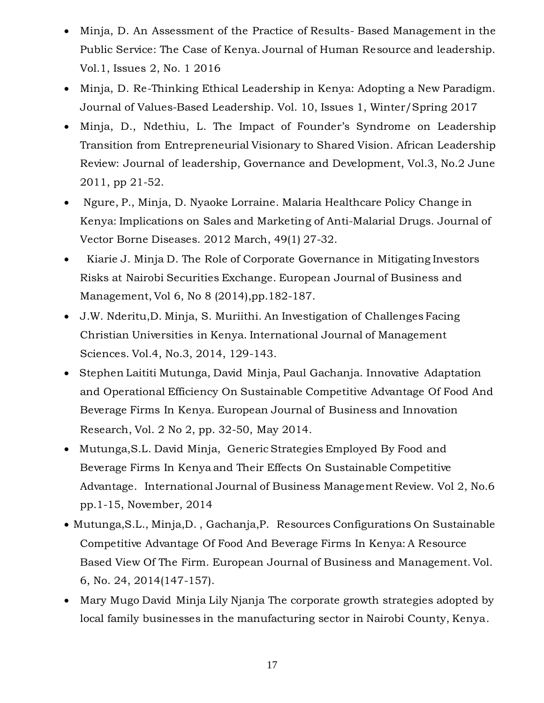- Minja, D. An Assessment of the Practice of Results- Based Management in the Public Service: The Case of Kenya. Journal of Human Resource and leadership. Vol.1, Issues 2, No. 1 2016
- Minja, D. Re-Thinking Ethical Leadership in Kenya: Adopting a New Paradigm. Journal of Values-Based Leadership. Vol. 10, Issues 1, Winter/Spring 2017
- Minja, D., Ndethiu, L. The Impact of Founder's Syndrome on Leadership Transition from Entrepreneurial Visionary to Shared Vision. African Leadership Review: Journal of leadership, Governance and Development, Vol.3, No.2 June 2011, pp 21-52.
- Ngure, P., Minja, D. Nyaoke Lorraine. Malaria Healthcare Policy Change in Kenya: Implications on Sales and Marketing of Anti-Malarial Drugs. Journal of Vector Borne Diseases. 2012 March, 49(1) 27-32.
- Kiarie J. Minja D. The Role of Corporate Governance in Mitigating Investors Risks at Nairobi Securities Exchange. European Journal of Business and Management, Vol 6, No 8 (2014),pp.182-187.
- J.W. Nderitu,D. Minja, S. Muriithi. An Investigation of Challenges Facing Christian Universities in Kenya. International Journal of Management Sciences. Vol.4, No.3, 2014, 129-143.
- Stephen Laititi Mutunga, David Minja, Paul Gachanja. Innovative Adaptation and Operational Efficiency On Sustainable Competitive Advantage Of Food And Beverage Firms In Kenya. European Journal of Business and Innovation Research, Vol. 2 No 2, pp. 32-50, May 2014.
- Mutunga,S.L. David Minja, Generic Strategies Employed By Food and Beverage Firms In Kenya and Their Effects On Sustainable Competitive Advantage. International Journal of Business Management Review. Vol 2, No.6 pp.1-15, November, 2014
- Mutunga,S.L., Minja,D. , Gachanja,P. Resources Configurations On Sustainable Competitive Advantage Of Food And Beverage Firms In Kenya: A Resource Based View Of The Firm. European Journal of Business and Management. Vol. 6, No. 24, 2014(147-157).
- Mary Mugo David Minja Lily Njanja The corporate growth strategies adopted by local family businesses in the manufacturing sector in Nairobi County, Kenya.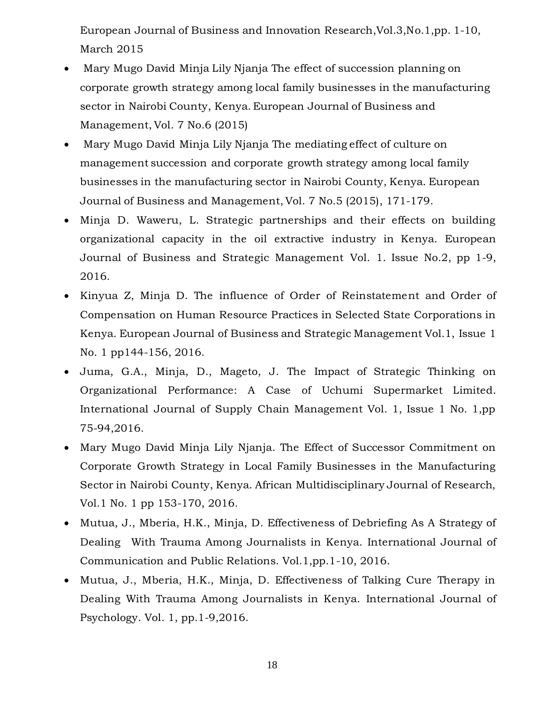European Journal of Business and Innovation Research,Vol.3,No.1,pp. 1-10, March 2015

- Mary Mugo David Minja Lily Njanja The effect of succession planning on corporate growth strategy among local family businesses in the manufacturing sector in Nairobi County, Kenya. European Journal of Business and Management, Vol. 7 No.6 (2015)
- Mary Mugo David Minja Lily Njanja The mediating effect of culture on management succession and corporate growth strategy among local family businesses in the manufacturing sector in Nairobi County, Kenya. European Journal of Business and Management, Vol. 7 No.5 (2015), 171-179.
- Minja D. Waweru, L. Strategic partnerships and their effects on building organizational capacity in the oil extractive industry in Kenya. European Journal of Business and Strategic Management Vol. 1. Issue No.2, pp 1-9, 2016.
- Kinyua Z, Minja D. The influence of Order of Reinstatement and Order of Compensation on Human Resource Practices in Selected State Corporations in Kenya. European Journal of Business and Strategic Management Vol.1, Issue 1 No. 1 pp144-156, 2016.
- Juma, G.A., Minja, D., Mageto, J. The Impact of Strategic Thinking on Organizational Performance: A Case of Uchumi Supermarket Limited. International Journal of Supply Chain Management Vol. 1, Issue 1 No. 1,pp 75-94,2016.
- Mary Mugo David Minja Lily Njanja. The Effect of Successor Commitment on Corporate Growth Strategy in Local Family Businesses in the Manufacturing Sector in Nairobi County, Kenya. African Multidisciplinary Journal of Research, Vol.1 No. 1 pp 153-170, 2016.
- Mutua, J., Mberia, H.K., Minja, D. Effectiveness of Debriefing As A Strategy of Dealing With Trauma Among Journalists in Kenya. International Journal of Communication and Public Relations. Vol.1,pp.1-10, 2016.
- Mutua, J., Mberia, H.K., Minja, D. Effectiveness of Talking Cure Therapy in Dealing With Trauma Among Journalists in Kenya. International Journal of Psychology. Vol. 1, pp.1-9,2016.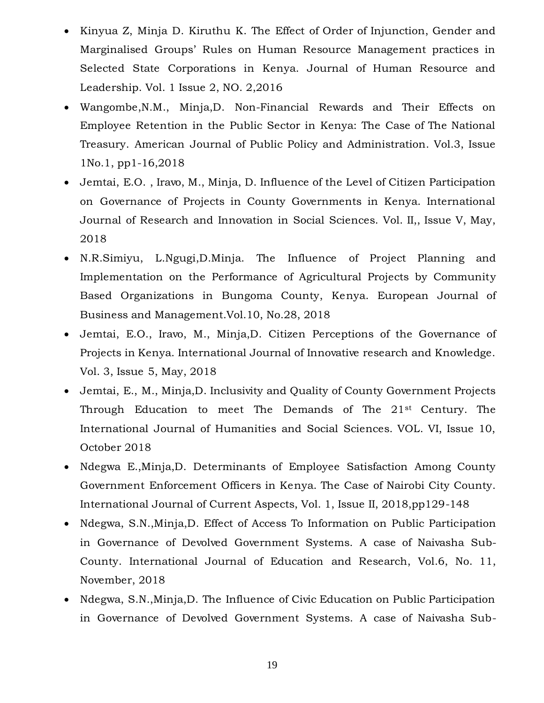- Kinyua Z, Minja D. Kiruthu K. The Effect of Order of Injunction, Gender and Marginalised Groups' Rules on Human Resource Management practices in Selected State Corporations in Kenya. Journal of Human Resource and Leadership. Vol. 1 Issue 2, NO. 2,2016
- Wangombe,N.M., Minja,D. Non-Financial Rewards and Their Effects on Employee Retention in the Public Sector in Kenya: The Case of The National Treasury. American Journal of Public Policy and Administration. Vol.3, Issue 1No.1, pp1-16,2018
- Jemtai, E.O. , Iravo, M., Minja, D. Influence of the Level of Citizen Participation on Governance of Projects in County Governments in Kenya. International Journal of Research and Innovation in Social Sciences. Vol. II,, Issue V, May, 2018
- N.R.Simiyu, L.Ngugi,D.Minja. The Influence of Project Planning and Implementation on the Performance of Agricultural Projects by Community Based Organizations in Bungoma County, Kenya. European Journal of Business and Management.Vol.10, No.28, 2018
- Jemtai, E.O., Iravo, M., Minja,D. Citizen Perceptions of the Governance of Projects in Kenya. International Journal of Innovative research and Knowledge. Vol. 3, Issue 5, May, 2018
- Jemtai, E., M., Minja,D. Inclusivity and Quality of County Government Projects Through Education to meet The Demands of The 21st Century. The International Journal of Humanities and Social Sciences. VOL. VI, Issue 10, October 2018
- Ndegwa E.,Minja,D. Determinants of Employee Satisfaction Among County Government Enforcement Officers in Kenya. The Case of Nairobi City County. International Journal of Current Aspects, Vol. 1, Issue II, 2018,pp129-148
- Ndegwa, S.N.,Minja,D. Effect of Access To Information on Public Participation in Governance of Devolved Government Systems. A case of Naivasha Sub-County. International Journal of Education and Research, Vol.6, No. 11, November, 2018
- Ndegwa, S.N.,Minja,D. The Influence of Civic Education on Public Participation in Governance of Devolved Government Systems. A case of Naivasha Sub-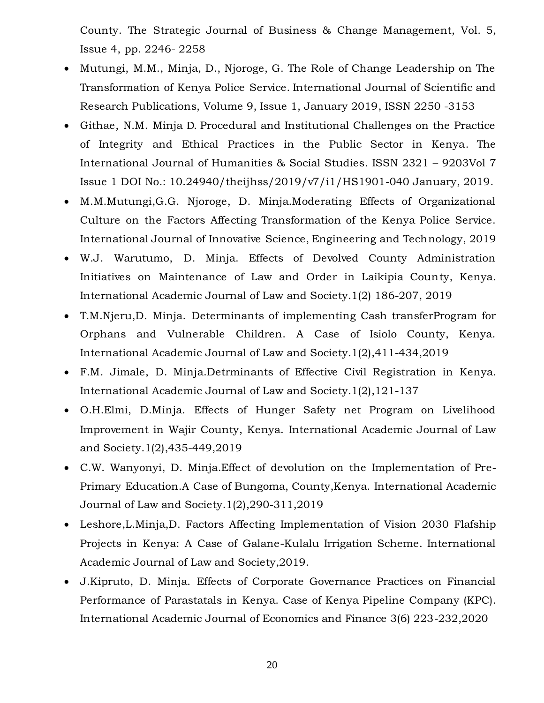County. The Strategic Journal of Business & Change Management, Vol. 5, Issue 4, pp. 2246- 2258

- Mutungi, M.M., Minja, D., Njoroge, G. The Role of Change Leadership on The Transformation of Kenya Police Service. International Journal of Scientific and Research Publications, Volume 9, Issue 1, January 2019, ISSN 2250 -3153
- Githae, N.M. Minja D. Procedural and Institutional Challenges on the Practice of Integrity and Ethical Practices in the Public Sector in Kenya. The International Journal of Humanities & Social Studies. ISSN 2321 – 9203Vol 7 Issue 1 DOI No.: 10.24940/theijhss/2019/v7/i1/HS1901-040 January, 2019.
- M.M.Mutungi,G.G. Njoroge, D. Minja.Moderating Effects of Organizational Culture on the Factors Affecting Transformation of the Kenya Police Service. International Journal of Innovative Science, Engineering and Technology, 2019
- W.J. Warutumo, D. Minja. Effects of Devolved County Administration Initiatives on Maintenance of Law and Order in Laikipia County, Kenya. International Academic Journal of Law and Society.1(2) 186-207, 2019
- T.M.Njeru,D. Minja. Determinants of implementing Cash transferProgram for Orphans and Vulnerable Children. A Case of Isiolo County, Kenya. International Academic Journal of Law and Society.1(2),411-434,2019
- F.M. Jimale, D. Minja.Detrminants of Effective Civil Registration in Kenya. International Academic Journal of Law and Society.1(2),121-137
- O.H.Elmi, D.Minja. Effects of Hunger Safety net Program on Livelihood Improvement in Wajir County, Kenya. International Academic Journal of Law and Society.1(2),435-449,2019
- C.W. Wanyonyi, D. Minja.Effect of devolution on the Implementation of Pre-Primary Education.A Case of Bungoma, County,Kenya. International Academic Journal of Law and Society.1(2),290-311,2019
- Leshore, L. Minja, D. Factors Affecting Implementation of Vision 2030 Flafship Projects in Kenya: A Case of Galane-Kulalu Irrigation Scheme. International Academic Journal of Law and Society,2019.
- J.Kipruto, D. Minja. Effects of Corporate Governance Practices on Financial Performance of Parastatals in Kenya. Case of Kenya Pipeline Company (KPC). International Academic Journal of Economics and Finance 3(6) 223-232,2020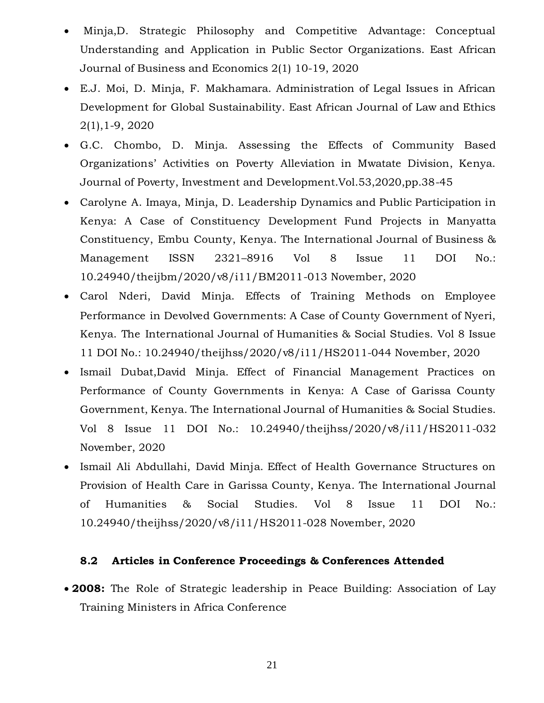- Minja,D. Strategic Philosophy and Competitive Advantage: Conceptual Understanding and Application in Public Sector Organizations. East African Journal of Business and Economics 2(1) 10-19, 2020
- E.J. Moi, D. Minja, F. Makhamara. Administration of Legal Issues in African Development for Global Sustainability. East African Journal of Law and Ethics 2(1),1-9, 2020
- G.C. Chombo, D. Minja. Assessing the Effects of Community Based Organizations' Activities on Poverty Alleviation in Mwatate Division, Kenya. Journal of Poverty, Investment and Development.Vol.53,2020,pp.38-45
- Carolyne A. Imaya, Minja, D. Leadership Dynamics and Public Participation in Kenya: A Case of Constituency Development Fund Projects in Manyatta Constituency, Embu County, Kenya. The International Journal of Business & Management ISSN 2321–8916 Vol 8 Issue 11 DOI No.: 10.24940/theijbm/2020/v8/i11/BM2011-013 November, 2020
- Carol Nderi, David Minja. Effects of Training Methods on Employee Performance in Devolved Governments: A Case of County Government of Nyeri, Kenya. The International Journal of Humanities & Social Studies. Vol 8 Issue 11 DOI No.: 10.24940/theijhss/2020/v8/i11/HS2011-044 November, 2020
- Ismail Dubat,David Minja. Effect of Financial Management Practices on Performance of County Governments in Kenya: A Case of Garissa County Government, Kenya. The International Journal of Humanities & Social Studies. Vol 8 Issue 11 DOI No.: 10.24940/theijhss/2020/v8/i11/HS2011-032 November, 2020
- Ismail Ali Abdullahi, David Minja. Effect of Health Governance Structures on Provision of Health Care in Garissa County, Kenya. The International Journal of Humanities & Social Studies. Vol 8 Issue 11 DOI No.: 10.24940/theijhss/2020/v8/i11/HS2011-028 November, 2020

### **8.2 Articles in Conference Proceedings & Conferences Attended**

 **2008:** The Role of Strategic leadership in Peace Building: Association of Lay Training Ministers in Africa Conference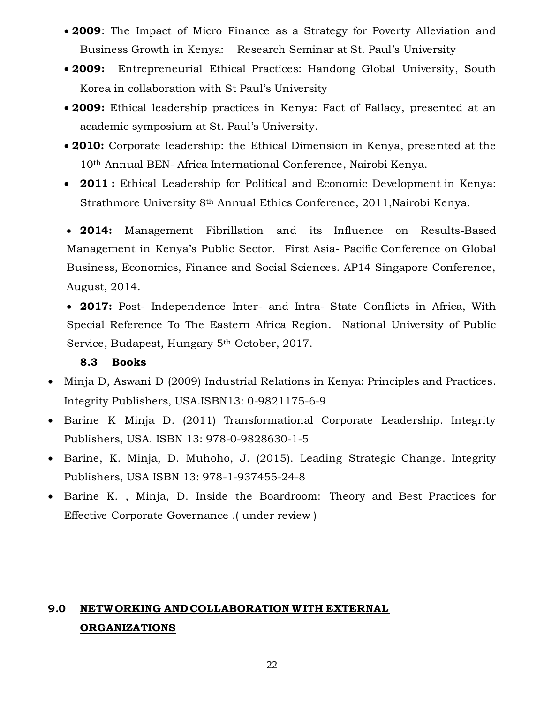- **2009**: The Impact of Micro Finance as a Strategy for Poverty Alleviation and Business Growth in Kenya: Research Seminar at St. Paul's University
- **2009:** Entrepreneurial Ethical Practices: Handong Global University, South Korea in collaboration with St Paul's University
- **2009:** Ethical leadership practices in Kenya: Fact of Fallacy, presented at an academic symposium at St. Paul's University.
- **2010:** Corporate leadership: the Ethical Dimension in Kenya, presented at the 10th Annual BEN- Africa International Conference, Nairobi Kenya.
- **2011 :** Ethical Leadership for Political and Economic Development in Kenya: Strathmore University 8th Annual Ethics Conference, 2011,Nairobi Kenya.

 **2014:** Management Fibrillation and its Influence on Results-Based Management in Kenya's Public Sector. First Asia- Pacific Conference on Global Business, Economics, Finance and Social Sciences. AP14 Singapore Conference, August, 2014.

 **2017:** Post- Independence Inter- and Intra- State Conflicts in Africa, With Special Reference To The Eastern Africa Region. National University of Public Service, Budapest, Hungary 5th October, 2017.

### **8.3 Books**

- Minja D, Aswani D (2009) Industrial Relations in Kenya: Principles and Practices. Integrity Publishers, USA.ISBN13: 0-9821175-6-9
- Barine K Minja D. (2011) Transformational Corporate Leadership. Integrity Publishers, USA. ISBN 13: 978-0-9828630-1-5
- Barine, K. Minja, D. Muhoho, J. (2015). Leading Strategic Change. Integrity Publishers, USA ISBN 13: 978-1-937455-24-8
- Barine K. , Minja, D. Inside the Boardroom: Theory and Best Practices for Effective Corporate Governance .( under review )

# **9.0 NETWORKING AND COLLABORATION W ITH EXTERNAL ORGANIZATIONS**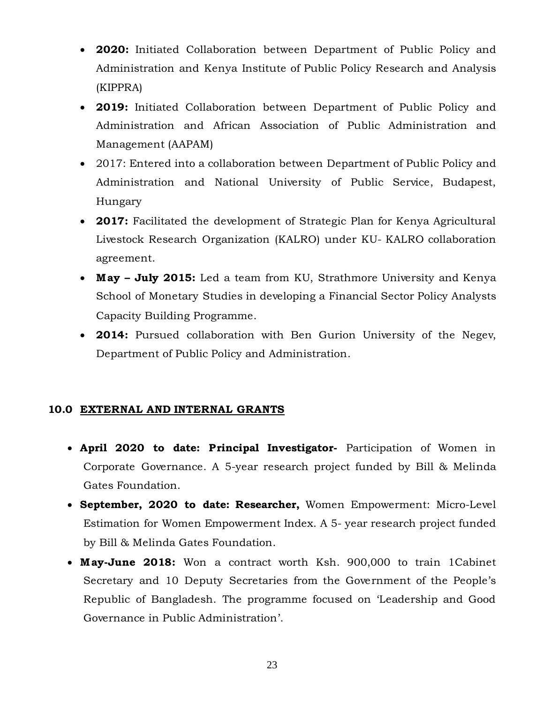- **2020:** Initiated Collaboration between Department of Public Policy and Administration and Kenya Institute of Public Policy Research and Analysis (KIPPRA)
- **2019:** Initiated Collaboration between Department of Public Policy and Administration and African Association of Public Administration and Management (AAPAM)
- 2017: Entered into a collaboration between Department of Public Policy and Administration and National University of Public Service, Budapest, Hungary
- **2017:** Facilitated the development of Strategic Plan for Kenya Agricultural Livestock Research Organization (KALRO) under KU- KALRO collaboration agreement.
- **M ay – July 2015:** Led a team from KU, Strathmore University and Kenya School of Monetary Studies in developing a Financial Sector Policy Analysts Capacity Building Programme.
- **2014:** Pursued collaboration with Ben Gurion University of the Negev, Department of Public Policy and Administration.

## **10.0 EXTERNAL AND INTERNAL GRANTS**

- **April 2020 to date: Principal Investigator-** Participation of Women in Corporate Governance. A 5-year research project funded by Bill & Melinda Gates Foundation.
- **September, 2020 to date: Researcher,** Women Empowerment: Micro-Level Estimation for Women Empowerment Index. A 5- year research project funded by Bill & Melinda Gates Foundation.
- **M ay-June 2018:** Won a contract worth Ksh. 900,000 to train 1Cabinet Secretary and 10 Deputy Secretaries from the Government of the People's Republic of Bangladesh. The programme focused on 'Leadership and Good Governance in Public Administration'.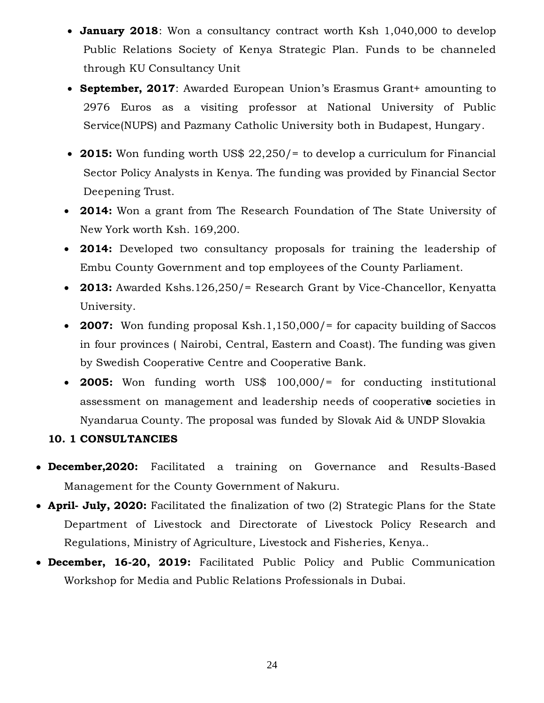- **January 2018**: Won a consultancy contract worth Ksh 1,040,000 to develop Public Relations Society of Kenya Strategic Plan. Funds to be channeled through KU Consultancy Unit
- **September, 2017**: Awarded European Union's Erasmus Grant+ amounting to 2976 Euros as a visiting professor at National University of Public Service(NUPS) and Pazmany Catholic University both in Budapest, Hungary.
- **2015:** Won funding worth US\$ 22,250/= to develop a curriculum for Financial Sector Policy Analysts in Kenya. The funding was provided by Financial Sector Deepening Trust.
- **2014:** Won a grant from The Research Foundation of The State University of New York worth Ksh. 169,200.
- **2014:** Developed two consultancy proposals for training the leadership of Embu County Government and top employees of the County Parliament.
- **2013:** Awarded Kshs.126,250/= Research Grant by Vice-Chancellor, Kenyatta University.
- **2007:** Won funding proposal Ksh.1,150,000/= for capacity building of Saccos in four provinces ( Nairobi, Central, Eastern and Coast). The funding was given by Swedish Cooperative Centre and Cooperative Bank.
- **2005:** Won funding worth US\$ 100,000/= for conducting institutional assessment on management and leadership needs of cooperativ**e** societies in Nyandarua County. The proposal was funded by Slovak Aid & UNDP Slovakia

## **10. 1 CONSULTANCIES**

- **December,2020:** Facilitated a training on Governance and Results-Based Management for the County Government of Nakuru.
- **April- July, 2020:** Facilitated the finalization of two (2) Strategic Plans for the State Department of Livestock and Directorate of Livestock Policy Research and Regulations, Ministry of Agriculture, Livestock and Fisheries, Kenya..
- **December, 16-20, 2019:** Facilitated Public Policy and Public Communication Workshop for Media and Public Relations Professionals in Dubai.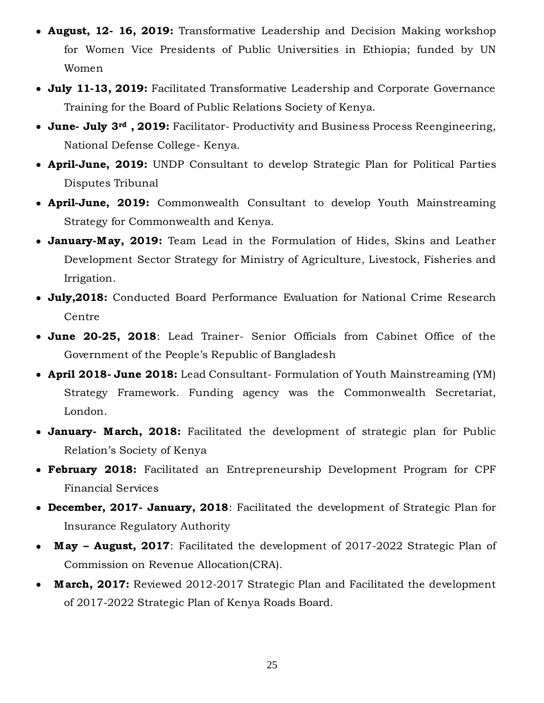- **August, 12- 16, 2019:** Transformative Leadership and Decision Making workshop for Women Vice Presidents of Public Universities in Ethiopia; funded by UN Women
- **July 11-13, 2019:** Facilitated Transformative Leadership and Corporate Governance Training for the Board of Public Relations Society of Kenya.
- **June- July 3rd , 2019:** Facilitator- Productivity and Business Process Reengineering, National Defense College- Kenya.
- **April-June, 2019:** UNDP Consultant to develop Strategic Plan for Political Parties Disputes Tribunal
- **April-June, 2019:** Commonwealth Consultant to develop Youth Mainstreaming Strategy for Commonwealth and Kenya.
- **January-M ay, 2019:** Team Lead in the Formulation of Hides, Skins and Leather Development Sector Strategy for Ministry of Agriculture, Livestock, Fisheries and Irrigation.
- **July,2018:** Conducted Board Performance Evaluation for National Crime Research Centre
- **June 20-25, 2018**: Lead Trainer- Senior Officials from Cabinet Office of the Government of the People's Republic of Bangladesh
- **April 2018- June 2018:** Lead Consultant- Formulation of Youth Mainstreaming (YM) Strategy Framework. Funding agency was the Commonwealth Secretariat, London.
- **January- M arch, 2018:** Facilitated the development of strategic plan for Public Relation's Society of Kenya
- **February 2018:** Facilitated an Entrepreneurship Development Program for CPF Financial Services
- **December, 2017- January, 2018**: Facilitated the development of Strategic Plan for Insurance Regulatory Authority
- **M ay – August, 2017**: Facilitated the development of 2017-2022 Strategic Plan of Commission on Revenue Allocation(CRA).
- **M arch, 2017:** Reviewed 2012-2017 Strategic Plan and Facilitated the development of 2017-2022 Strategic Plan of Kenya Roads Board.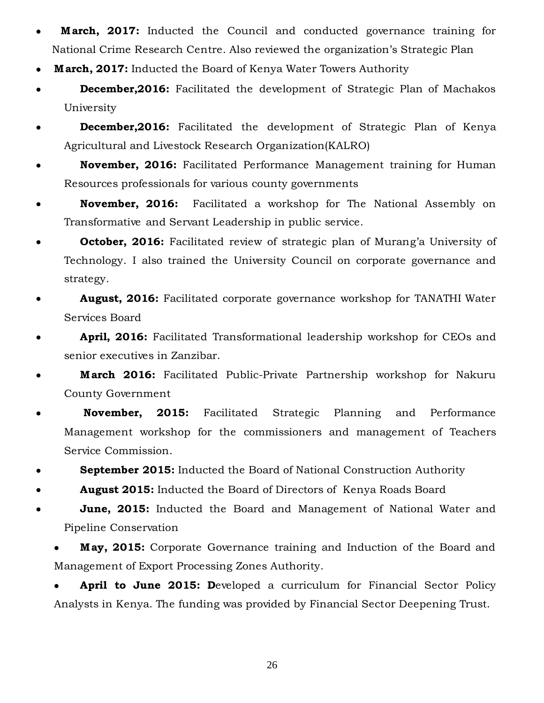- **M arch, 2017:** Inducted the Council and conducted governance training for National Crime Research Centre. Also reviewed the organization's Strategic Plan
- **M arch, 2017:** Inducted the Board of Kenya Water Towers Authority
- **December, 2016:** Facilitated the development of Strategic Plan of Machakos University
- **December,2016:** Facilitated the development of Strategic Plan of Kenya Agricultural and Livestock Research Organization(KALRO)
- **November, 2016:** Facilitated Performance Management training for Human Resources professionals for various county governments
- **November, 2016:** Facilitated a workshop for The National Assembly on Transformative and Servant Leadership in public service.
- **October, 2016:** Facilitated review of strategic plan of Murang'a University of Technology. I also trained the University Council on corporate governance and strategy.
- **August, 2016:** Facilitated corporate governance workshop for TANATHI Water Services Board
- **April, 2016:** Facilitated Transformational leadership workshop for CEOs and senior executives in Zanzibar.
- **M arch 2016:** Facilitated Public-Private Partnership workshop for Nakuru County Government
- **November, 2015:** Facilitated Strategic Planning and Performance Management workshop for the commissioners and management of Teachers Service Commission.
- **September 2015:** Inducted the Board of National Construction Authority
- **August 2015:** Inducted the Board of Directors of Kenya Roads Board
- **June, 2015:** Inducted the Board and Management of National Water and Pipeline Conservation
	- **M ay, 2015:** Corporate Governance training and Induction of the Board and Management of Export Processing Zones Authority.

 **April to June 2015: D**eveloped a curriculum for Financial Sector Policy Analysts in Kenya. The funding was provided by Financial Sector Deepening Trust.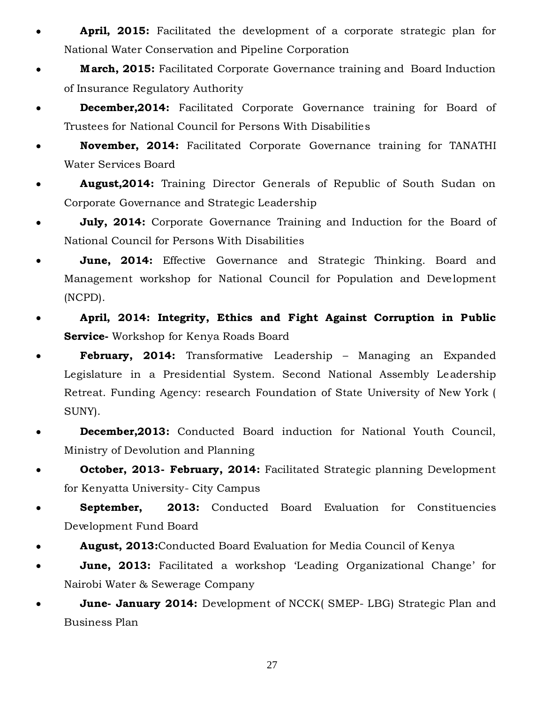- **April, 2015:** Facilitated the development of a corporate strategic plan for National Water Conservation and Pipeline Corporation
- **M arch, 2015:** Facilitated Corporate Governance training and Board Induction of Insurance Regulatory Authority
- **December, 2014:** Facilitated Corporate Governance training for Board of Trustees for National Council for Persons With Disabilities
- **November, 2014:** Facilitated Corporate Governance training for TANATHI Water Services Board
- **August,2014:** Training Director Generals of Republic of South Sudan on Corporate Governance and Strategic Leadership
- **July, 2014:** Corporate Governance Training and Induction for the Board of National Council for Persons With Disabilities
- **June, 2014:** Effective Governance and Strategic Thinking. Board and Management workshop for National Council for Population and Development (NCPD).
- **April, 2014: Integrity, Ethics and Fight Against Corruption in Public Service-** Workshop for Kenya Roads Board
- **February, 2014:** Transformative Leadership Managing an Expanded Legislature in a Presidential System. Second National Assembly Leadership Retreat. Funding Agency: research Foundation of State University of New York ( SUNY).
- **December,2013:** Conducted Board induction for National Youth Council, Ministry of Devolution and Planning
- **October, 2013- February, 2014:** Facilitated Strategic planning Development for Kenyatta University- City Campus
- **September, 2013:** Conducted Board Evaluation for Constituencies Development Fund Board
- **August, 2013:**Conducted Board Evaluation for Media Council of Kenya
- **June, 2013:** Facilitated a workshop 'Leading Organizational Change' for Nairobi Water & Sewerage Company
- **June- January 2014:** Development of NCCK( SMEP- LBG) Strategic Plan and Business Plan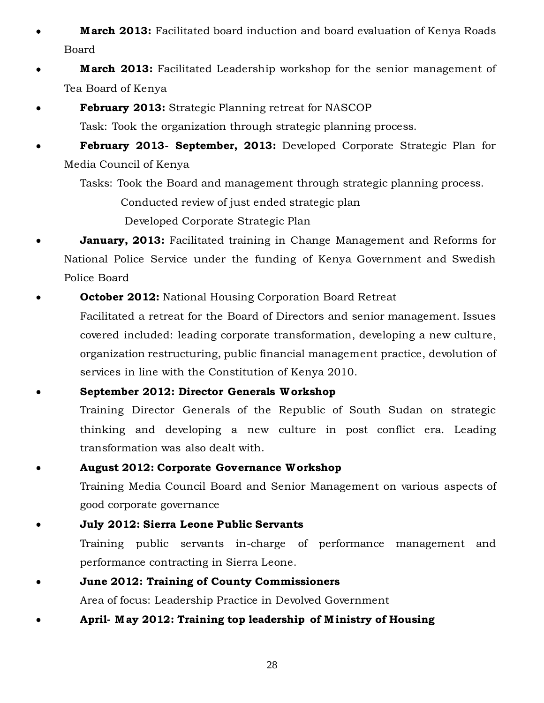- **M arch 2013:** Facilitated board induction and board evaluation of Kenya Roads Board
- **March 2013:** Facilitated Leadership workshop for the senior management of Tea Board of Kenya
- **February 2013:** Strategic Planning retreat for NASCOP

Task: Took the organization through strategic planning process.

 **February 2013- September, 2013:** Developed Corporate Strategic Plan for Media Council of Kenya

Tasks: Took the Board and management through strategic planning process.

Conducted review of just ended strategic plan

Developed Corporate Strategic Plan

- **January, 2013:** Facilitated training in Change Management and Reforms for National Police Service under the funding of Kenya Government and Swedish Police Board
- **October 2012:** National Housing Corporation Board Retreat

Facilitated a retreat for the Board of Directors and senior management. Issues covered included: leading corporate transformation, developing a new culture, organization restructuring, public financial management practice, devolution of services in line with the Constitution of Kenya 2010.

**September 2012: Director Generals W orkshop**

Training Director Generals of the Republic of South Sudan on strategic thinking and developing a new culture in post conflict era. Leading transformation was also dealt with.

**August 2012: Corporate Governance W orkshop**

Training Media Council Board and Senior Management on various aspects of good corporate governance

 **July 2012: Sierra Leone Public Servants** Training public servants in-charge of performance management and performance contracting in Sierra Leone.

# **June 2012: Training of County Commissioners**  Area of focus: Leadership Practice in Devolved Government

**April- M ay 2012: Training top leadership of M inistry of Housing**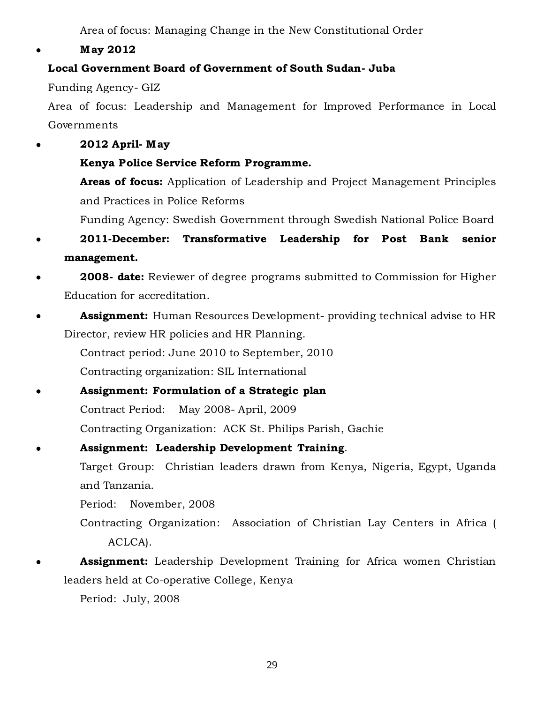Area of focus: Managing Change in the New Constitutional Order

**M ay 2012**

# **Local Government Board of Government of South Sudan- Juba**

Funding Agency- GIZ

Area of focus: Leadership and Management for Improved Performance in Local Governments

- **2012 April- M ay**
	- **Kenya Police Service Reform Programme.**

**Areas of focus:** Application of Leadership and Project Management Principles and Practices in Police Reforms

Funding Agency: Swedish Government through Swedish National Police Board

- **2011-December: Transformative Leadership for Post Bank senior management.**
- **2008- date:** Reviewer of degree programs submitted to Commission for Higher Education for accreditation.
- **Assignment:** Human Resources Development- providing technical advise to HR Director, review HR policies and HR Planning.

Contract period: June 2010 to September, 2010

Contracting organization: SIL International

 **Assignment: Formulation of a Strategic plan** Contract Period: May 2008- April, 2009 Contracting Organization: ACK St. Philips Parish, Gachie

 **Assignment: Leadership Development Training**. Target Group: Christian leaders drawn from Kenya, Nigeria, Egypt, Uganda and Tanzania.

Period: November, 2008

- Contracting Organization: Association of Christian Lay Centers in Africa ( ACLCA).
- **Assignment:** Leadership Development Training for Africa women Christian leaders held at Co-operative College, Kenya

Period: July, 2008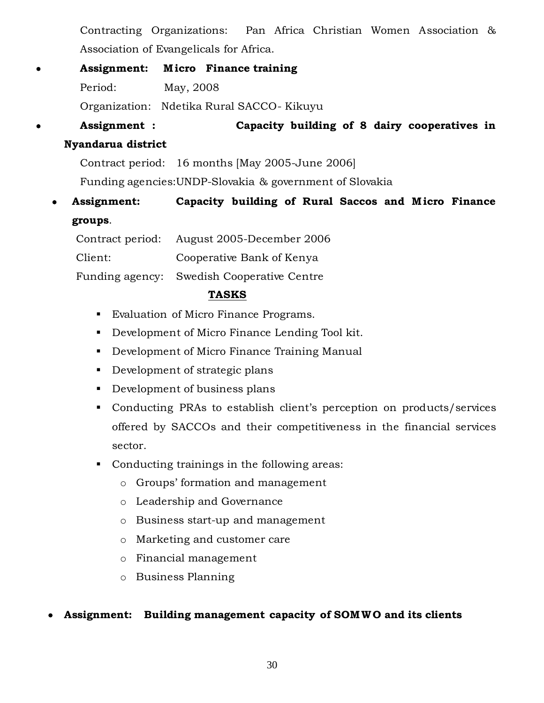Contracting Organizations: Pan Africa Christian Women Association & Association of Evangelicals for Africa.

- **Assignment: M icro Finance training** Period: May, 2008 Organization: Ndetika Rural SACCO- Kikuyu
- **Assignment : Capacity building of 8 dairy cooperatives in**

# **Nyandarua district**

Contract period: 16 months [May 2005-June 2006]

Funding agencies:UNDP-Slovakia & government of Slovakia

**Assignment:** Capacity building of Rural Saccos and Micro Finance **groups**.

| Contract period: | August 2005-December 2006                  |
|------------------|--------------------------------------------|
| Client:          | Cooperative Bank of Kenya                  |
|                  | Funding agency: Swedish Cooperative Centre |

## **TASKS**

- **Evaluation of Micro Finance Programs.**
- Development of Micro Finance Lending Tool kit.
- Development of Micro Finance Training Manual
- Development of strategic plans
- Development of business plans
- Conducting PRAs to establish client's perception on products/services offered by SACCOs and their competitiveness in the financial services sector.
- Conducting trainings in the following areas:
	- o Groups' formation and management
	- o Leadership and Governance
	- o Business start-up and management
	- o Marketing and customer care
	- o Financial management
	- o Business Planning

# **Assignment: Building management capacity of SOMWO and its clients**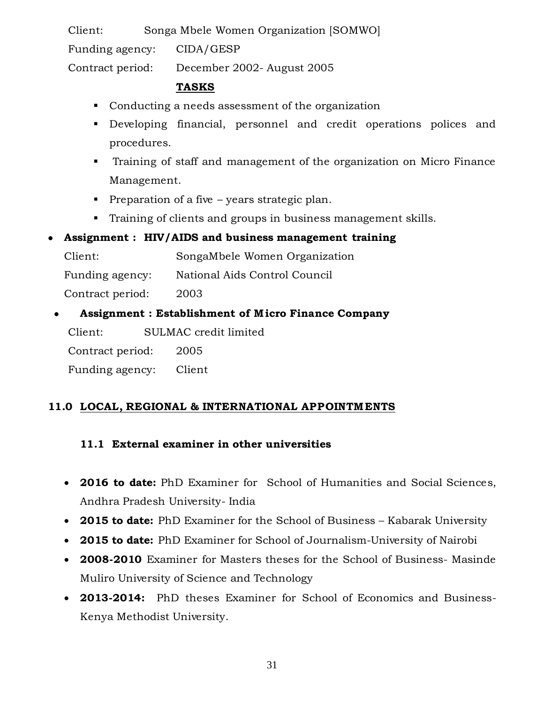Client: Songa Mbele Women Organization [SOMWO] Funding agency: CIDA/GESP Contract period: December 2002- August 2005

### **TASKS**

- Conducting a needs assessment of the organization
- Developing financial, personnel and credit operations polices and procedures.
- Training of staff and management of the organization on Micro Finance Management.
- Preparation of a five years strategic plan.
- Training of clients and groups in business management skills.

## **Assignment : HIV/AIDS and business management training**

Client: SongaMbele Women Organization Funding agency: National Aids Control Council Contract period: 2003

**Assignment : Establishment of M icro Finance Company**

Client: SULMAC credit limited

Contract period: 2005

Funding agency: Client

# **11.0 LOCAL, REGIONAL & INTERNATIONAL APPOINTM ENTS**

# **11.1 External examiner in other universities**

- **2016 to date:** PhD Examiner for School of Humanities and Social Sciences, Andhra Pradesh University- India
- **2015 to date:** PhD Examiner for the School of Business Kabarak University
- **2015 to date:** PhD Examiner for School of Journalism-University of Nairobi
- **2008-2010** Examiner for Masters theses for the School of Business- Masinde Muliro University of Science and Technology
- **2013-2014:** PhD theses Examiner for School of Economics and Business-Kenya Methodist University.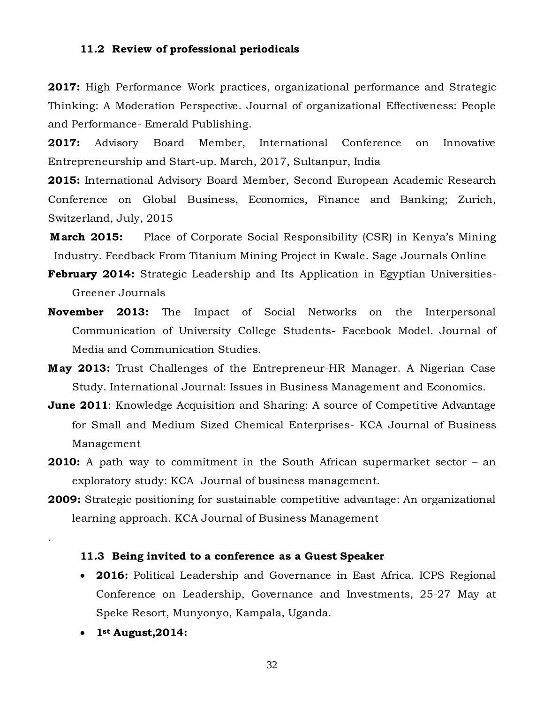#### **11.2 Review of professional periodicals**

**2017:** High Performance Work practices, organizational performance and Strategic Thinking: A Moderation Perspective. Journal of organizational Effectiveness: People and Performance- Emerald Publishing.

**2017:** Advisory Board Member, International Conference on Innovative Entrepreneurship and Start-up. March, 2017, Sultanpur, India

**2015:** International Advisory Board Member, Second European Academic Research Conference on Global Business, Economics, Finance and Banking; Zurich, Switzerland, July, 2015

- **March 2015:** Place of Corporate Social Responsibility (CSR) in Kenya's Mining Industry. Feedback From Titanium Mining Project in Kwale. Sage Journals Online
- **February 2014:** Strategic Leadership and Its Application in Egyptian Universities-Greener Journals
- **November 2013:** The Impact of Social Networks on the Interpersonal Communication of University College Students- Facebook Model. Journal of Media and Communication Studies.
- **M ay 2013:** Trust Challenges of the Entrepreneur-HR Manager. A Nigerian Case Study. International Journal: Issues in Business Management and Economics.
- **June 2011**: Knowledge Acquisition and Sharing: A source of Competitive Advantage for Small and Medium Sized Chemical Enterprises- KCA Journal of Business Management
- **2010:** A path way to commitment in the South African supermarket sector an exploratory study: KCA Journal of business management.
- **2009:** Strategic positioning for sustainable competitive advantage: An organizational learning approach. KCA Journal of Business Management

#### **11.3 Being invited to a conference as a Guest Speaker**

- **2016:** Political Leadership and Governance in East Africa. ICPS Regional Conference on Leadership, Governance and Investments, 25-27 May at Speke Resort, Munyonyo, Kampala, Uganda.
- **1st August,2014:**

.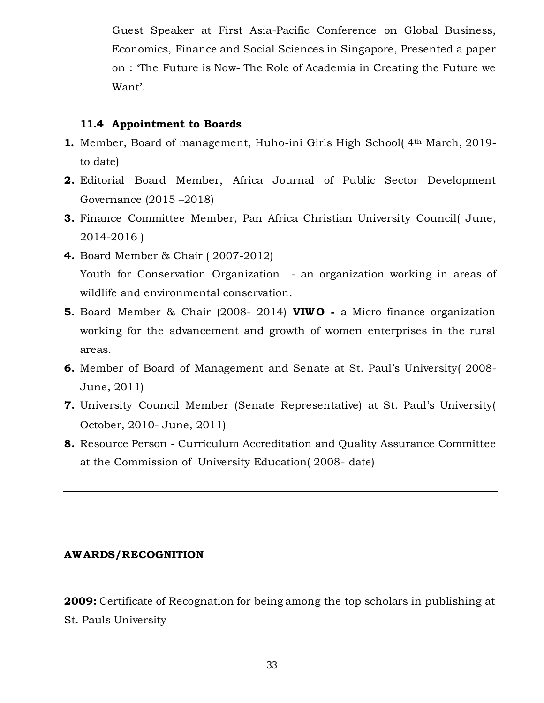Guest Speaker at First Asia-Pacific Conference on Global Business, Economics, Finance and Social Sciences in Singapore, Presented a paper on : 'The Future is Now- The Role of Academia in Creating the Future we Want'.

### **11.4 Appointment to Boards**

- **1.** Member, Board of management, Huho-ini Girls High School( 4th March, 2019 to date)
- **2.** Editorial Board Member, Africa Journal of Public Sector Development Governance (2015 –2018)
- **3.** Finance Committee Member, Pan Africa Christian University Council( June, 2014-2016 )
- **4.** Board Member & Chair ( 2007-2012) Youth for Conservation Organization - an organization working in areas of wildlife and environmental conservation.
- **5.** Board Member & Chair (2008- 2014) **VIWO -** a Micro finance organization working for the advancement and growth of women enterprises in the rural areas.
- **6.** Member of Board of Management and Senate at St. Paul's University( 2008- June, 2011)
- **7.** University Council Member (Senate Representative) at St. Paul's University( October, 2010- June, 2011)
- **8.** Resource Person Curriculum Accreditation and Quality Assurance Committee at the Commission of University Education( 2008- date)

### **AW ARDS/RECOGNITION**

**2009:** Certificate of Recognation for being among the top scholars in publishing at St. Pauls University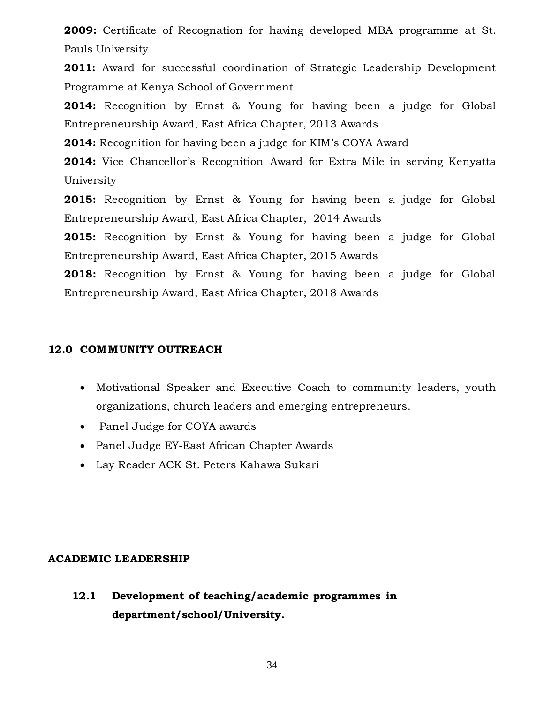**2009:** Certificate of Recognation for having developed MBA programme at St. Pauls University

**2011:** Award for successful coordination of Strategic Leadership Development Programme at Kenya School of Government

**2014:** Recognition by Ernst & Young for having been a judge for Global Entrepreneurship Award, East Africa Chapter, 2013 Awards

**2014:** Recognition for having been a judge for KIM's COYA Award

**2014:** Vice Chancellor's Recognition Award for Extra Mile in serving Kenyatta University

**2015:** Recognition by Ernst & Young for having been a judge for Global Entrepreneurship Award, East Africa Chapter, 2014 Awards

**2015:** Recognition by Ernst & Young for having been a judge for Global Entrepreneurship Award, East Africa Chapter, 2015 Awards

**2018:** Recognition by Ernst & Young for having been a judge for Global Entrepreneurship Award, East Africa Chapter, 2018 Awards

### **12.0 COMM UNITY OUTREACH**

- Motivational Speaker and Executive Coach to community leaders, youth organizations, church leaders and emerging entrepreneurs.
- Panel Judge for COYA awards
- Panel Judge EY-East African Chapter Awards
- Lay Reader ACK St. Peters Kahawa Sukari

### **ACADEM IC LEADERSHIP**

**12.1 Development of teaching/academic programmes in department/school/University.**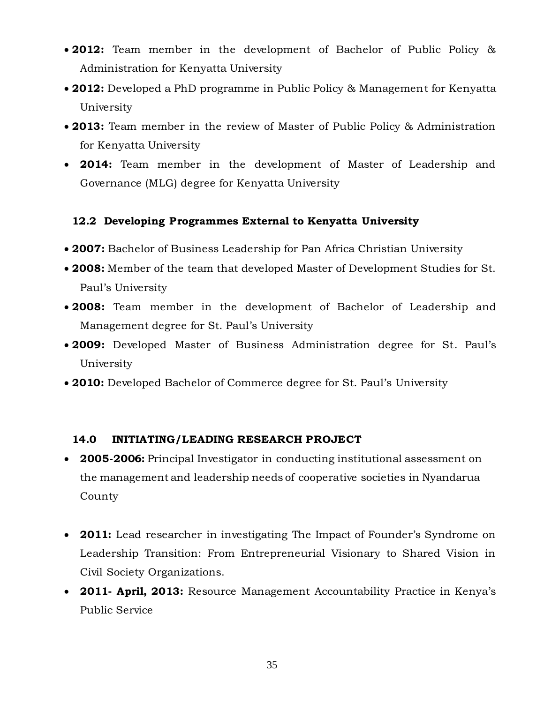- **2012:** Team member in the development of Bachelor of Public Policy & Administration for Kenyatta University
- **2012:** Developed a PhD programme in Public Policy & Management for Kenyatta University
- **2013:** Team member in the review of Master of Public Policy & Administration for Kenyatta University
- **2014:** Team member in the development of Master of Leadership and Governance (MLG) degree for Kenyatta University

## **12.2 Developing Programmes External to Kenyatta University**

- **2007:** Bachelor of Business Leadership for Pan Africa Christian University
- **2008:** Member of the team that developed Master of Development Studies for St. Paul's University
- **2008:** Team member in the development of Bachelor of Leadership and Management degree for St. Paul's University
- **2009:** Developed Master of Business Administration degree for St. Paul's University
- **2010:** Developed Bachelor of Commerce degree for St. Paul's University

## **14.0 INITIATING/LEADING RESEARCH PROJECT**

- **2005-2006:** Principal Investigator in conducting institutional assessment on the management and leadership needs of cooperative societies in Nyandarua County
- **2011:** Lead researcher in investigating The Impact of Founder's Syndrome on Leadership Transition: From Entrepreneurial Visionary to Shared Vision in Civil Society Organizations.
- **2011- April, 2013:** Resource Management Accountability Practice in Kenya's Public Service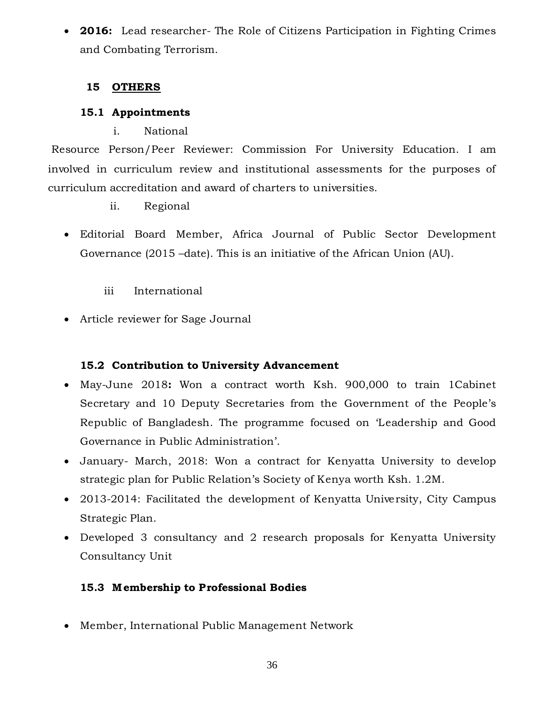**2016:** Lead researcher- The Role of Citizens Participation in Fighting Crimes and Combating Terrorism.

## **15 OTHERS**

## **15.1 Appointments**

i. National

Resource Person/Peer Reviewer: Commission For University Education. I am involved in curriculum review and institutional assessments for the purposes of curriculum accreditation and award of charters to universities.

- ii. Regional
- Editorial Board Member, Africa Journal of Public Sector Development Governance (2015 –date). This is an initiative of the African Union (AU).
	- iii International
- Article reviewer for Sage Journal

# **15.2 Contribution to University Advancement**

- May-June 2018**:** Won a contract worth Ksh. 900,000 to train 1Cabinet Secretary and 10 Deputy Secretaries from the Government of the People's Republic of Bangladesh. The programme focused on 'Leadership and Good Governance in Public Administration'.
- January- March, 2018: Won a contract for Kenyatta University to develop strategic plan for Public Relation's Society of Kenya worth Ksh. 1.2M.
- 2013-2014: Facilitated the development of Kenyatta University, City Campus Strategic Plan.
- Developed 3 consultancy and 2 research proposals for Kenyatta University Consultancy Unit

# **15.3 M embership to Professional Bodies**

Member, International Public Management Network